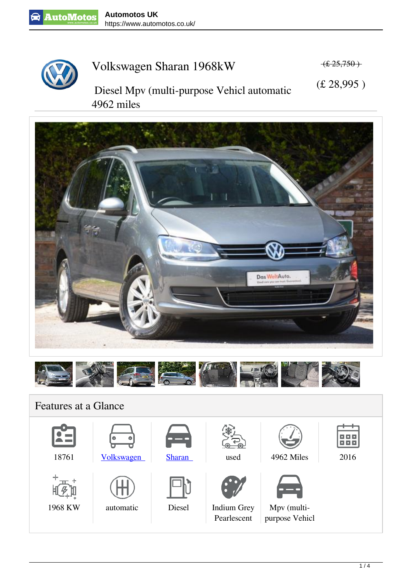

**4962 miles**



## **Volkswagen Sharan 1968kW**

 **(£ 25,750 )**

 **Diesel Mpv (multi-purpose Vehicl automatic (£ 28,995 )**





## **Features at a Glance**

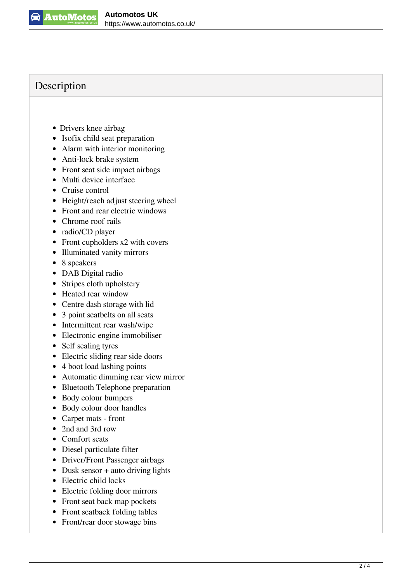

## **Description**

- Drivers knee airbag
- Isofix child seat preparation
- Alarm with interior monitoring
- Anti-lock brake system
- Front seat side impact airbags
- Multi device interface
- Cruise control
- Height/reach adjust steering wheel
- Front and rear electric windows
- Chrome roof rails
- radio/CD player
- Front cupholders x2 with covers
- Illuminated vanity mirrors
- 8 speakers
- DAB Digital radio
- Stripes cloth upholstery
- Heated rear window
- Centre dash storage with lid
- 3 point seatbelts on all seats
- Intermittent rear wash/wipe
- Electronic engine immobiliser
- Self sealing tyres
- Electric sliding rear side doors
- 4 boot load lashing points
- Automatic dimming rear view mirror
- Bluetooth Telephone preparation
- Body colour bumpers
- Body colour door handles
- Carpet mats front
- 2nd and 3rd row
- Comfort seats
- Diesel particulate filter
- Driver/Front Passenger airbags
- $\bullet$  Dusk sensor + auto driving lights
- Electric child locks
- Electric folding door mirrors
- Front seat back map pockets
- Front seatback folding tables
- Front/rear door stowage bins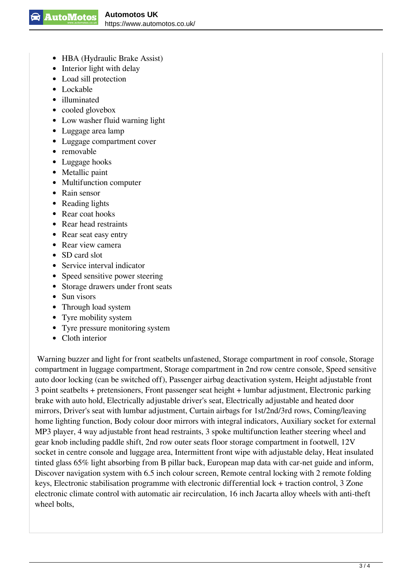- HBA (Hydraulic Brake Assist)
- Interior light with delay
- Load sill protection
- Lockable
- illuminated
- cooled glovebox
- Low washer fluid warning light
- Luggage area lamp
- Luggage compartment cover
- removable
- Luggage hooks
- Metallic paint
- Multifunction computer
- Rain sensor
- Reading lights
- Rear coat hooks
- Rear head restraints
- Rear seat easy entry
- Rear view camera
- SD card slot
- Service interval indicator
- Speed sensitive power steering
- Storage drawers under front seats
- Sun visors
- Through load system
- Tyre mobility system
- Tyre pressure monitoring system
- Cloth interior

 Warning buzzer and light for front seatbelts unfastened, Storage compartment in roof console, Storage compartment in luggage compartment, Storage compartment in 2nd row centre console, Speed sensitive auto door locking (can be switched off), Passenger airbag deactivation system, Height adjustable front 3 point seatbelts + pretensioners, Front passenger seat height + lumbar adjustment, Electronic parking brake with auto hold, Electrically adjustable driver's seat, Electrically adjustable and heated door mirrors, Driver's seat with lumbar adjustment, Curtain airbags for 1st/2nd/3rd rows, Coming/leaving home lighting function, Body colour door mirrors with integral indicators, Auxiliary socket for external MP3 player, 4 way adjustable front head restraints, 3 spoke multifunction leather steering wheel and gear knob including paddle shift, 2nd row outer seats floor storage compartment in footwell, 12V socket in centre console and luggage area, Intermittent front wipe with adjustable delay, Heat insulated tinted glass 65% light absorbing from B pillar back, European map data with car-net guide and inform, Discover navigation system with 6.5 inch colour screen, Remote central locking with 2 remote folding keys, Electronic stabilisation programme with electronic differential lock + traction control, 3 Zone electronic climate control with automatic air recirculation, 16 inch Jacarta alloy wheels with anti-theft wheel bolts,